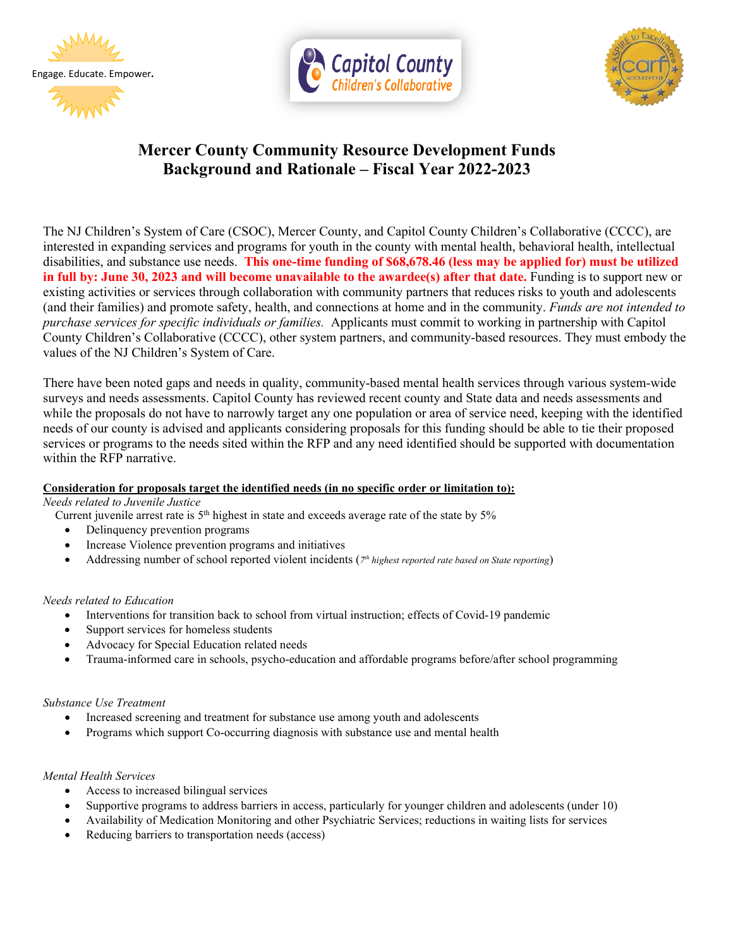







# **Mercer County Community Resource Development Funds Background and Rationale – Fiscal Year 2022-2023**

The NJ Children's System of Care (CSOC), Mercer County, and Capitol County Children's Collaborative (CCCC), are interested in expanding services and programs for youth in the county with mental health, behavioral health, intellectual disabilities, and substance use needs. **This one-time funding of \$68,678.46 (less may be applied for) must be utilized in full by: June 30, 2023 and will become unavailable to the awardee(s) after that date. Funding is to support new or** existing activities or services through collaboration with community partners that reduces risks to youth and adolescents (and their families) and promote safety, health, and connections at home and in the community. *Funds are not intended to purchase services for specific individuals or families.* Applicants must commit to working in partnership with Capitol County Children's Collaborative (CCCC), other system partners, and community-based resources. They must embody the values of the NJ Children's System of Care.

There have been noted gaps and needs in quality, community-based mental health services through various system-wide surveys and needs assessments. Capitol County has reviewed recent county and State data and needs assessments and while the proposals do not have to narrowly target any one population or area of service need, keeping with the identified needs of our county is advised and applicants considering proposals for this funding should be able to tie their proposed services or programs to the needs sited within the RFP and any need identified should be supported with documentation within the RFP narrative.

#### **Consideration for proposals target the identified needs (in no specific order or limitation to):**

*Needs related to Juvenile Justice* 

Current juvenile arrest rate is  $5<sup>th</sup>$  highest in state and exceeds average rate of the state by  $5\%$ 

- Delinquency prevention programs
- Increase Violence prevention programs and initiatives
- Addressing number of school reported violent incidents (*7th highest reported rate based on State reporting*)

#### *Needs related to Education*

- Interventions for transition back to school from virtual instruction; effects of Covid-19 pandemic
- Support services for homeless students
- Advocacy for Special Education related needs
- Trauma-informed care in schools, psycho-education and affordable programs before/after school programming

#### *Substance Use Treatment*

- Increased screening and treatment for substance use among youth and adolescents
- Programs which support Co-occurring diagnosis with substance use and mental health

#### *Mental Health Services*

- Access to increased bilingual services
- Supportive programs to address barriers in access, particularly for younger children and adolescents (under 10)
- Availability of Medication Monitoring and other Psychiatric Services; reductions in waiting lists for services
- Reducing barriers to transportation needs (access)